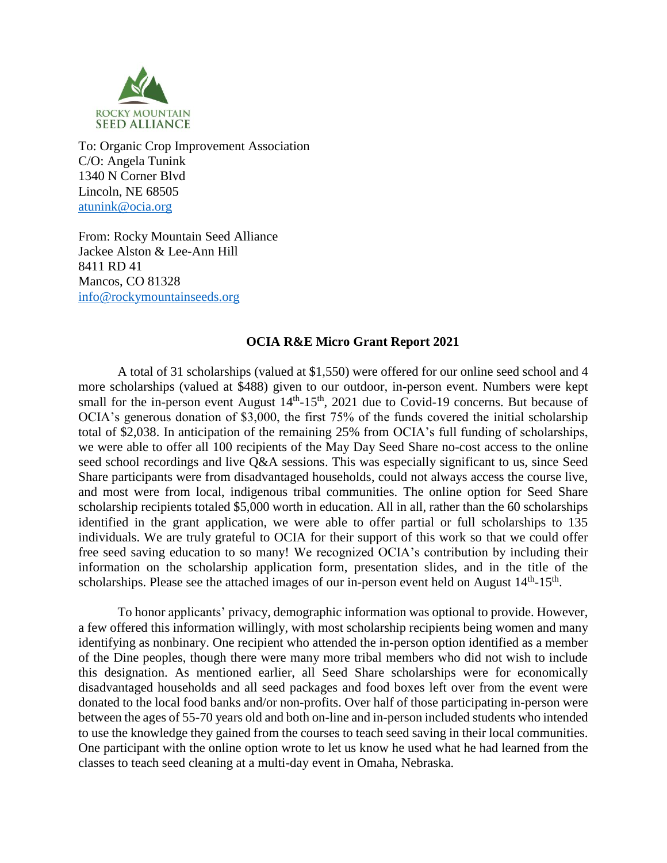

To: Organic Crop Improvement Association C/O: Angela Tunink 1340 N Corner Blvd Lincoln, NE 68505 [atunink@ocia.org](mailto:atunink@ocia.org)

From: Rocky Mountain Seed Alliance Jackee Alston & Lee-Ann Hill 8411 RD 41 Mancos, CO 81328 [info@rockymountainseeds.org](mailto:info@rockymountainseeds.org)

## **OCIA R&E Micro Grant Report 2021**

A total of 31 scholarships (valued at \$1,550) were offered for our online seed school and 4 more scholarships (valued at \$488) given to our outdoor, in-person event. Numbers were kept small for the in-person event August  $14<sup>th</sup>$ -15<sup>th</sup>, 2021 due to Covid-19 concerns. But because of OCIA's generous donation of \$3,000, the first 75% of the funds covered the initial scholarship total of \$2,038. In anticipation of the remaining 25% from OCIA's full funding of scholarships, we were able to offer all 100 recipients of the May Day Seed Share no-cost access to the online seed school recordings and live Q&A sessions. This was especially significant to us, since Seed Share participants were from disadvantaged households, could not always access the course live, and most were from local, indigenous tribal communities. The online option for Seed Share scholarship recipients totaled \$5,000 worth in education. All in all, rather than the 60 scholarships identified in the grant application, we were able to offer partial or full scholarships to 135 individuals. We are truly grateful to OCIA for their support of this work so that we could offer free seed saving education to so many! We recognized OCIA's contribution by including their information on the scholarship application form, presentation slides, and in the title of the scholarships. Please see the attached images of our in-person event held on August  $14<sup>th</sup>$ -15<sup>th</sup>.

To honor applicants' privacy, demographic information was optional to provide. However, a few offered this information willingly, with most scholarship recipients being women and many identifying as nonbinary. One recipient who attended the in-person option identified as a member of the Dine peoples, though there were many more tribal members who did not wish to include this designation. As mentioned earlier, all Seed Share scholarships were for economically disadvantaged households and all seed packages and food boxes left over from the event were donated to the local food banks and/or non-profits. Over half of those participating in-person were between the ages of 55-70 years old and both on-line and in-person included students who intended to use the knowledge they gained from the courses to teach seed saving in their local communities. One participant with the online option wrote to let us know he used what he had learned from the classes to teach seed cleaning at a multi-day event in Omaha, Nebraska.